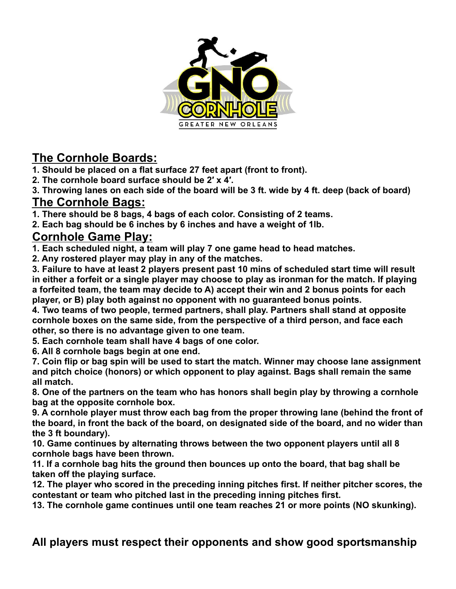

### **The Cornhole Boards:**

**1. Should be placed on a flat surface 27 feet apart (front to front).**

**2. The cornhole board surface should be 2′ x 4′.**

**3. Throwing lanes on each side of the board will be 3 ft. wide by 4 ft. deep (back of board) The Cornhole Bags:**

**1. There should be 8 bags, 4 bags of each color. Consisting of 2 teams.**

**2. Each bag should be 6 inches by 6 inches and have a weight of 1lb.**

#### **Cornhole Game Play:**

**1. Each scheduled night, a team will play 7 one game head to head matches.**

**2. Any rostered player may play in any of the matches.**

**3. Failure to have at least 2 players present past 10 mins of scheduled start time will result in either a forfeit or a single player may choose to play as ironman for the match. If playing a forfeited team, the team may decide to A) accept their win and 2 bonus points for each player, or B) play both against no opponent with no guaranteed bonus points.**

**4. Two teams of two people, termed partners, shall play. Partners shall stand at opposite cornhole boxes on the same side, from the perspective of a third person, and face each other, so there is no advantage given to one team.**

**5. Each cornhole team shall have 4 bags of one color.**

**6. All 8 cornhole bags begin at one end.**

**7. Coin flip or bag spin will be used to start the match. Winner may choose lane assignment and pitch choice (honors) or which opponent to play against. Bags shall remain the same all match.**

**8. One of the partners on the team who has honors shall begin play by throwing a cornhole bag at the opposite cornhole box.**

**9. A cornhole player must throw each bag from the proper throwing lane (behind the front of the board, in front the back of the board, on designated side of the board, and no wider than the 3 ft boundary).**

**10. Game continues by alternating throws between the two opponent players until all 8 cornhole bags have been thrown.**

**11. If a cornhole bag hits the ground then bounces up onto the board, that bag shall be taken off the playing surface.**

**12. The player who scored in the preceding inning pitches first. If neither pitcher scores, the contestant or team who pitched last in the preceding inning pitches first.**

**13. The cornhole game continues until one team reaches 21 or more points (NO skunking).**

#### **All players must respect their opponents and show good sportsmanship**